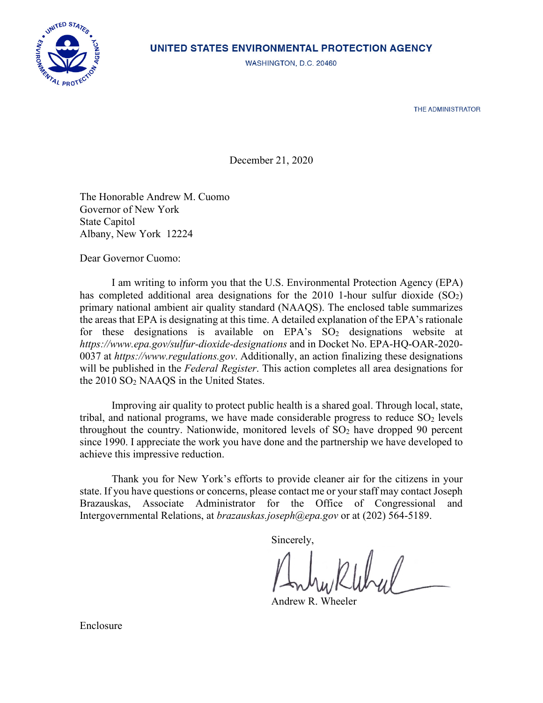

## UNITED STATES ENVIRONMENTAL PROTECTION AGENCY

WASHINGTON, D.C. 20460

THE ADMINISTRATOR

December 21, 2020

The Honorable Andrew M. Cuomo Governor of New York State Capitol Albany, New York 12224

Dear Governor Cuomo:

I am writing to inform you that the U.S. Environmental Protection Agency (EPA) has completed additional area designations for the 2010 1-hour sulfur dioxide  $(SO<sub>2</sub>)$ primary national ambient air quality standard (NAAQS). The enclosed table summarizes the areas that EPA is designating at this time. A detailed explanation of the EPA's rationale for these designations is available on  $EPA's SO<sub>2</sub>$  designations website at *https://www.epa.gov/sulfur-dioxide-designations* and in Docket No. EPA-HQ-OAR-2020- 0037 at *https:/[/www.regulations.gov](http://www.regulations.gov/)*. Additionally, an action finalizing these designations will be published in the *Federal Register*. This action completes all area designations for the 2010 SO2 NAAQS in the United States.

Improving air quality to protect public health is a shared goal. Through local, state, tribal, and national programs, we have made considerable progress to reduce  $SO_2$  levels throughout the country. Nationwide, monitored levels of  $SO<sub>2</sub>$  have dropped 90 percent since 1990. I appreciate the work you have done and the partnership we have developed to achieve this impressive reduction.

Thank you for New York's efforts to provide cleaner air for the citizens in your state. If you have questions or concerns, please contact me or your staff may contact Joseph Brazauskas, Associate Administrator for the Office of Congressional and Intergovernmental Relations, at *brazauskas.joseph@epa.gov* or at (202) 564-5189.

Sincerely,

Andrew R. Wheeler

Enclosure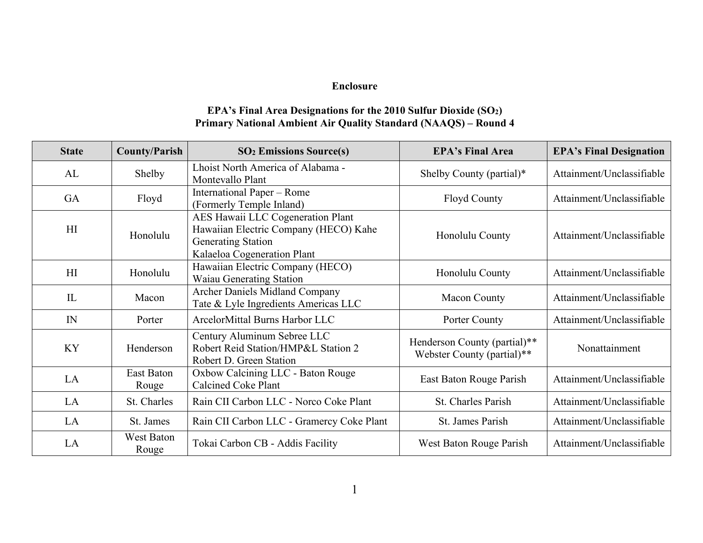## **Enclosure**

## **EPA's Final Area Designations for the 2010 Sulfur Dioxide (SO2) Primary National Ambient Air Quality Standard (NAAQS) – Round 4**

| <b>State</b> | <b>County/Parish</b> | <b>SO<sub>2</sub></b> Emissions Source(s)                                                                                              | <b>EPA's Final Area</b>                                    | <b>EPA's Final Designation</b> |
|--------------|----------------------|----------------------------------------------------------------------------------------------------------------------------------------|------------------------------------------------------------|--------------------------------|
| AL           | Shelby               | Lhoist North America of Alabama -<br>Montevallo Plant                                                                                  | Shelby County (partial)*                                   | Attainment/Unclassifiable      |
| GA           | Floyd                | International Paper - Rome<br>(Formerly Temple Inland)                                                                                 | <b>Floyd County</b>                                        | Attainment/Unclassifiable      |
| H            | Honolulu             | AES Hawaii LLC Cogeneration Plant<br>Hawaiian Electric Company (HECO) Kahe<br><b>Generating Station</b><br>Kalaeloa Cogeneration Plant | Honolulu County                                            | Attainment/Unclassifiable      |
| HI           | Honolulu             | Hawaiian Electric Company (HECO)<br>Waiau Generating Station                                                                           | Honolulu County                                            | Attainment/Unclassifiable      |
| IL           | Macon                | <b>Archer Daniels Midland Company</b><br>Tate & Lyle Ingredients Americas LLC                                                          | <b>Macon County</b>                                        | Attainment/Unclassifiable      |
| IN           | Porter               | ArcelorMittal Burns Harbor LLC                                                                                                         | Porter County                                              | Attainment/Unclassifiable      |
| <b>KY</b>    | Henderson            | Century Aluminum Sebree LLC<br>Robert Reid Station/HMP&L Station 2<br>Robert D. Green Station                                          | Henderson County (partial)**<br>Webster County (partial)** | Nonattainment                  |
| LA           | East Baton<br>Rouge  | Oxbow Calcining LLC - Baton Rouge<br><b>Calcined Coke Plant</b>                                                                        | East Baton Rouge Parish                                    | Attainment/Unclassifiable      |
| LA           | St. Charles          | Rain CII Carbon LLC - Norco Coke Plant                                                                                                 | <b>St. Charles Parish</b>                                  | Attainment/Unclassifiable      |
| LA           | St. James            | Rain CII Carbon LLC - Gramercy Coke Plant                                                                                              | St. James Parish                                           | Attainment/Unclassifiable      |
| LA           | West Baton<br>Rouge  | Tokai Carbon CB - Addis Facility                                                                                                       | West Baton Rouge Parish                                    | Attainment/Unclassifiable      |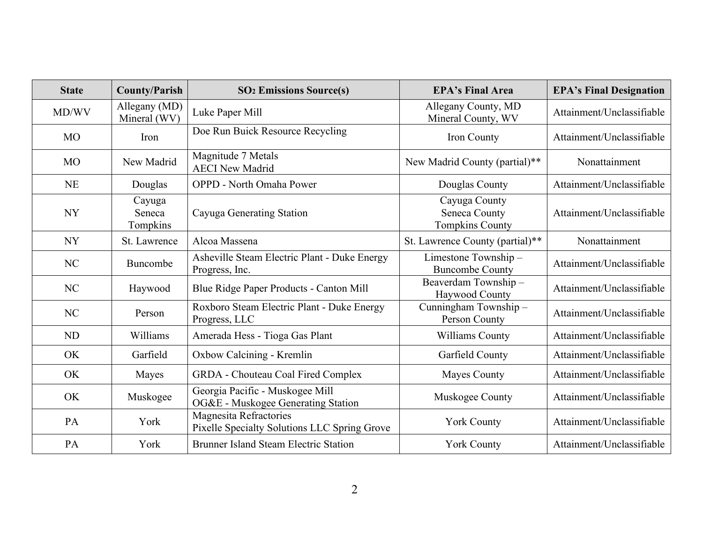| <b>State</b>   | <b>County/Parish</b>          | <b>SO<sub>2</sub></b> Emissions Source(s)                              | <b>EPA's Final Area</b>                                  | <b>EPA's Final Designation</b> |
|----------------|-------------------------------|------------------------------------------------------------------------|----------------------------------------------------------|--------------------------------|
| MD/WV          | Allegany (MD)<br>Mineral (WV) | Luke Paper Mill                                                        | Allegany County, MD<br>Mineral County, WV                | Attainment/Unclassifiable      |
| <b>MO</b>      | Iron                          | Doe Run Buick Resource Recycling                                       | Iron County                                              | Attainment/Unclassifiable      |
| <b>MO</b>      | New Madrid                    | Magnitude 7 Metals<br><b>AECI New Madrid</b>                           | New Madrid County (partial)**                            | Nonattainment                  |
| <b>NE</b>      | Douglas                       | <b>OPPD</b> - North Omaha Power                                        | Douglas County                                           | Attainment/Unclassifiable      |
| <b>NY</b>      | Cayuga<br>Seneca<br>Tompkins  | Cayuga Generating Station                                              | Cayuga County<br>Seneca County<br><b>Tompkins County</b> | Attainment/Unclassifiable      |
| <b>NY</b>      | St. Lawrence                  | Alcoa Massena                                                          | St. Lawrence County (partial)**                          | Nonattainment                  |
| N <sub>C</sub> | Buncombe                      | Asheville Steam Electric Plant - Duke Energy<br>Progress, Inc.         | Limestone Township-<br><b>Buncombe County</b>            | Attainment/Unclassifiable      |
| NC             | Haywood                       | Blue Ridge Paper Products - Canton Mill                                | Beaverdam Township-<br>Haywood County                    | Attainment/Unclassifiable      |
| NC             | Person                        | Roxboro Steam Electric Plant - Duke Energy<br>Progress, LLC            | Cunningham Township-<br>Person County                    | Attainment/Unclassifiable      |
| <b>ND</b>      | Williams                      | Amerada Hess - Tioga Gas Plant                                         | Williams County                                          | Attainment/Unclassifiable      |
| OK             | Garfield                      | Oxbow Calcining - Kremlin                                              | Garfield County                                          | Attainment/Unclassifiable      |
| OK             | Mayes                         | <b>GRDA</b> - Chouteau Coal Fired Complex                              | <b>Mayes County</b>                                      | Attainment/Unclassifiable      |
| <b>OK</b>      | Muskogee                      | Georgia Pacific - Muskogee Mill<br>OG&E - Muskogee Generating Station  | Muskogee County                                          | Attainment/Unclassifiable      |
| <b>PA</b>      | York                          | Magnesita Refractories<br>Pixelle Specialty Solutions LLC Spring Grove | <b>York County</b>                                       | Attainment/Unclassifiable      |
| PA             | York                          | <b>Brunner Island Steam Electric Station</b>                           | York County                                              | Attainment/Unclassifiable      |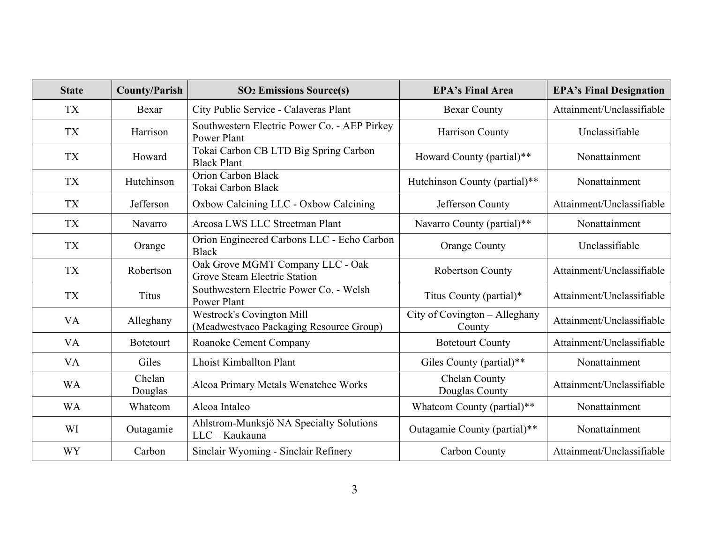| <b>State</b> | <b>County/Parish</b> | <b>SO<sub>2</sub></b> Emissions Source(s)                                   | <b>EPA's Final Area</b>                 | <b>EPA's Final Designation</b> |
|--------------|----------------------|-----------------------------------------------------------------------------|-----------------------------------------|--------------------------------|
| <b>TX</b>    | Bexar                | City Public Service - Calaveras Plant                                       | <b>Bexar County</b>                     | Attainment/Unclassifiable      |
| <b>TX</b>    | Harrison             | Southwestern Electric Power Co. - AEP Pirkey<br>Power Plant                 | Harrison County                         | Unclassifiable                 |
| <b>TX</b>    | Howard               | Tokai Carbon CB LTD Big Spring Carbon<br><b>Black Plant</b>                 | Howard County (partial)**               | Nonattainment                  |
| <b>TX</b>    | Hutchinson           | Orion Carbon Black<br>Tokai Carbon Black                                    | Hutchinson County (partial)**           | Nonattainment                  |
| <b>TX</b>    | Jefferson            | Oxbow Calcining LLC - Oxbow Calcining                                       | Jefferson County                        | Attainment/Unclassifiable      |
| <b>TX</b>    | Navarro              | Arcosa LWS LLC Streetman Plant                                              | Navarro County (partial)**              | Nonattainment                  |
| <b>TX</b>    | Orange               | Orion Engineered Carbons LLC - Echo Carbon<br><b>Black</b>                  | <b>Orange County</b>                    | Unclassifiable                 |
| <b>TX</b>    | Robertson            | Oak Grove MGMT Company LLC - Oak<br><b>Grove Steam Electric Station</b>     | Robertson County                        | Attainment/Unclassifiable      |
| <b>TX</b>    | <b>Titus</b>         | Southwestern Electric Power Co. - Welsh<br>Power Plant                      | Titus County (partial)*                 | Attainment/Unclassifiable      |
| <b>VA</b>    | Alleghany            | <b>Westrock's Covington Mill</b><br>(Meadwestvaco Packaging Resource Group) | City of Covington - Alleghany<br>County | Attainment/Unclassifiable      |
| <b>VA</b>    | <b>Botetourt</b>     | Roanoke Cement Company                                                      | <b>Botetourt County</b>                 | Attainment/Unclassifiable      |
| <b>VA</b>    | Giles                | <b>Lhoist Kimballton Plant</b>                                              | Giles County (partial)**                | Nonattainment                  |
| <b>WA</b>    | Chelan<br>Douglas    | Alcoa Primary Metals Wenatchee Works                                        | Chelan County<br>Douglas County         | Attainment/Unclassifiable      |
| <b>WA</b>    | Whatcom              | Alcoa Intalco                                                               | Whatcom County (partial)**              | Nonattainment                  |
| WI           | Outagamie            | Ahlstrom-Munksjö NA Specialty Solutions<br>LLC - Kaukauna                   | Outagamie County (partial)**            | Nonattainment                  |
| <b>WY</b>    | Carbon               | Sinclair Wyoming - Sinclair Refinery                                        | Carbon County                           | Attainment/Unclassifiable      |